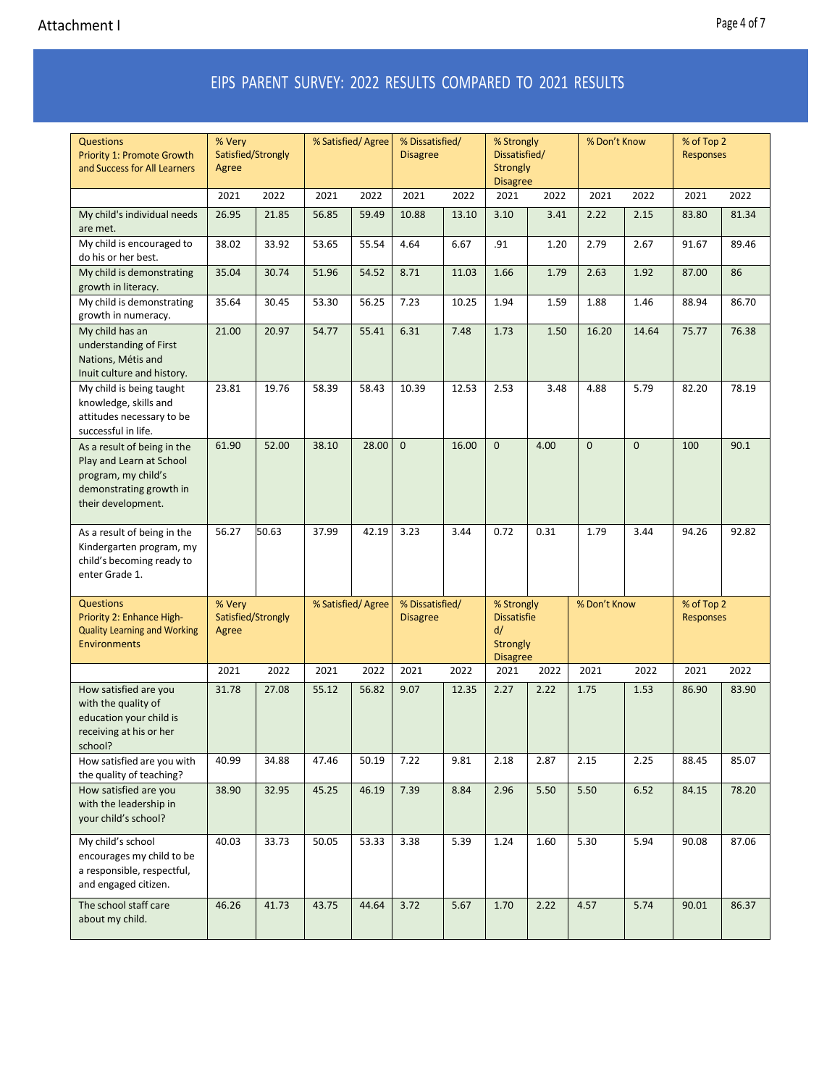## EIPS PARENT SURVEY: 2022 RESULTS COMPARED TO 2021 RESULTS

| <b>Questions</b><br><b>Priority 1: Promote Growth</b><br>and Success for All Learners                                           | % Very<br>Satisfied/Strongly<br>Agree |       | % Satisfied/Agree |       | % Dissatisfied/<br><b>Disagree</b> |       | % Strongly<br>Dissatisfied/<br><b>Strongly</b><br><b>Disagree</b>            |      | % Don't Know |             | % of Top 2<br><b>Responses</b> |       |
|---------------------------------------------------------------------------------------------------------------------------------|---------------------------------------|-------|-------------------|-------|------------------------------------|-------|------------------------------------------------------------------------------|------|--------------|-------------|--------------------------------|-------|
|                                                                                                                                 | 2021                                  | 2022  | 2021              | 2022  | 2021                               | 2022  | 2021                                                                         | 2022 | 2021         | 2022        | 2021                           | 2022  |
| My child's individual needs<br>are met.                                                                                         | 26.95                                 | 21.85 | 56.85             | 59.49 | 10.88                              | 13.10 | 3.10                                                                         | 3.41 | 2.22         | 2.15        | 83.80                          | 81.34 |
| My child is encouraged to<br>do his or her best.                                                                                | 38.02                                 | 33.92 | 53.65             | 55.54 | 4.64                               | 6.67  | .91                                                                          | 1.20 | 2.79         | 2.67        | 91.67                          | 89.46 |
| My child is demonstrating<br>growth in literacy.                                                                                | 35.04                                 | 30.74 | 51.96             | 54.52 | 8.71                               | 11.03 | 1.66                                                                         | 1.79 | 2.63         | 1.92        | 87.00                          | 86    |
| My child is demonstrating<br>growth in numeracy.                                                                                | 35.64                                 | 30.45 | 53.30             | 56.25 | 7.23                               | 10.25 | 1.94                                                                         | 1.59 | 1.88         | 1.46        | 88.94                          | 86.70 |
| My child has an<br>understanding of First<br>Nations, Métis and<br>Inuit culture and history.                                   | 21.00                                 | 20.97 | 54.77             | 55.41 | 6.31                               | 7.48  | 1.73                                                                         | 1.50 | 16.20        | 14.64       | 75.77                          | 76.38 |
| My child is being taught<br>knowledge, skills and<br>attitudes necessary to be<br>successful in life.                           | 23.81                                 | 19.76 | 58.39             | 58.43 | 10.39                              | 12.53 | 2.53                                                                         | 3.48 | 4.88         | 5.79        | 82.20                          | 78.19 |
| As a result of being in the<br>Play and Learn at School<br>program, my child's<br>demonstrating growth in<br>their development. | 61.90                                 | 52.00 | 38.10             | 28.00 | $\mathbf{0}$                       | 16.00 | $\mathbf 0$                                                                  | 4.00 | $\mathbf{0}$ | $\mathbf 0$ | 100                            | 90.1  |
| As a result of being in the<br>Kindergarten program, my<br>child's becoming ready to<br>enter Grade 1.                          | 56.27                                 | 50.63 | 37.99             | 42.19 | 3.23                               | 3.44  | 0.72                                                                         | 0.31 | 1.79         | 3.44        | 94.26                          | 92.82 |
| <b>Questions</b><br>Priority 2: Enhance High-<br><b>Quality Learning and Working</b><br><b>Environments</b>                     | % Very<br>Satisfied/Strongly<br>Agree |       | % Satisfied/Agree |       | % Dissatisfied/<br><b>Disagree</b> |       | % Strongly<br><b>Dissatisfie</b><br>d/<br><b>Strongly</b><br><b>Disagree</b> |      | % Don't Know |             | % of Top 2<br><b>Responses</b> |       |
|                                                                                                                                 | 2021                                  | 2022  | 2021              | 2022  | 2021                               | 2022  | 2021                                                                         | 2022 | 2021         | 2022        | 2021                           | 2022  |
| How satisfied are you<br>with the quality of<br>education your child is<br>receiving at his or her<br>school?                   | 31.78                                 | 27.08 | 55.12             | 56.82 | 9.07                               | 12.35 | 2.27                                                                         | 2.22 | 1.75         | 1.53        | 86.90                          | 83.90 |
| How satisfied are you with<br>the quality of teaching?                                                                          | 40.99                                 | 34.88 | 47.46             | 50.19 | 7.22                               | 9.81  | 2.18                                                                         | 2.87 | 2.15         | 2.25        | 88.45                          | 85.07 |
| How satisfied are you<br>with the leadership in<br>your child's school?                                                         | 38.90                                 | 32.95 | 45.25             | 46.19 | 7.39                               | 8.84  | 2.96                                                                         | 5.50 | 5.50         | 6.52        | 84.15                          | 78.20 |
| My child's school<br>encourages my child to be<br>a responsible, respectful,<br>and engaged citizen.                            | 40.03                                 | 33.73 | 50.05             | 53.33 | 3.38                               | 5.39  | 1.24                                                                         | 1.60 | 5.30         | 5.94        | 90.08                          | 87.06 |
| The school staff care<br>about my child.                                                                                        | 46.26                                 | 41.73 | 43.75             | 44.64 | 3.72                               | 5.67  | 1.70                                                                         | 2.22 | 4.57         | 5.74        | 90.01                          | 86.37 |